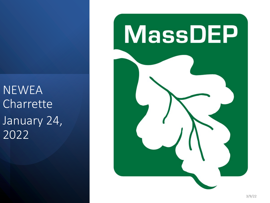**NEWEA** Charrette January 24, 2022

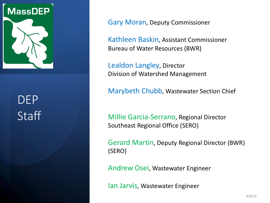

# DEP **Staff**

Gary Moran, Deputy Commissioner

Kathleen Baskin, Assistant Commissioner Bureau of Water Resources (BWR)

Lealdon Langley, Director Division of Watershed Management

Marybeth Chubb, Wastewater Section Chief

Millie Garcia-Serrano, Regional Director Southeast Regional Office (SERO)

Gerard Martin, Deputy Regional Director (BWR) (SERO)

Andrew Osei, Wastewater Engineer

Ian Jarvis, Wastewater Engineer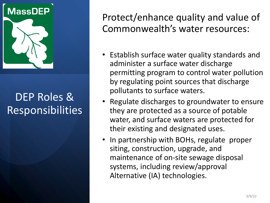

Protect/enhance quality and value of Commonwealth's water resources:

- Establish surface water quality standards and administer a surface water discharge permitting program to control water pollution by regulating point sources that discharge pollutants to surface waters.
- Regulate discharges to groundwater to ensure they are protected as a source of potable water, and surface waters are protected for their existing and designated uses.
- In partnership with BOHs, regulate proper siting, construction, upgrade, and maintenance of on-site sewage disposal systems, including review/approval Alternative (IA) technologies.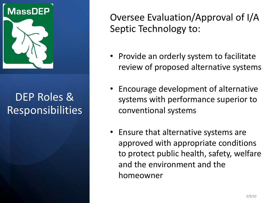

Oversee Evaluation/Approval of I/A Septic Technology to:

- Provide an orderly system to facilitate review of proposed alternative systems
- Encourage development of alternative systems with performance superior to conventional systems
- Ensure that alternative systems are approved with appropriate conditions to protect public health, safety, welfare and the environment and the homeowner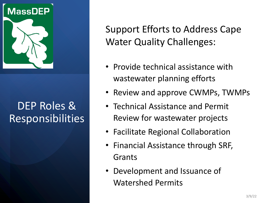

Support Efforts to Address Cape Water Quality Challenges:

- Provide technical assistance with wastewater planning efforts
- Review and approve CWMPs, TWMPs
- Technical Assistance and Permit Review for wastewater projects
- Facilitate Regional Collaboration
- Financial Assistance through SRF, Grants
- Development and Issuance of Watershed Permits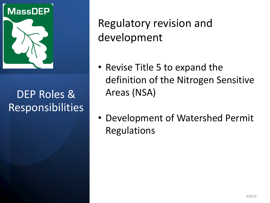

Regulatory revision and development

- Revise Title 5 to expand the definition of the Nitrogen Sensitive Areas (NSA)
- Development of Watershed Permit Regulations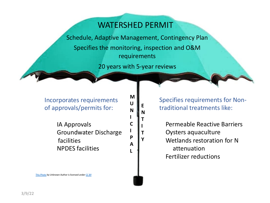#### WATERSHED PERMIT

Schedule, Adaptive Management, Contingency Plan Specifies the monitoring, inspection and O&M requirements

20 years with 5-year reviews

**M U N I C I P A L**

**E N T I T Y**

Incorporates requirements of approvals/permits for:

> IA Approvals Groundwater Discharge facilities NPDES facilities

Specifies requirements fo traditional treatments like:

Permeable Reactive Bar Oysters aquaculture Wetlands restoration for attenuation Fertilizer reductions

This Photo by Unknown Author is licensed under CC BY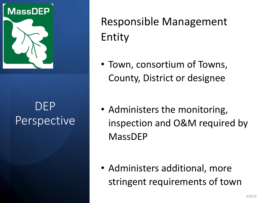

### DEP Perspective

Responsible Management Entity

- Town, consortium of Towns, County, District or designee
- Administers the monitoring, inspection and O&M required by MassDEP

• Administers additional, more stringent requirements of town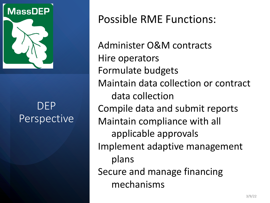

#### DEP Perspective

Possible RME Functions:

Administer O&M contracts Hire operators Formulate budgets Maintain data collection or contract data collection Compile data and submit reports Maintain compliance with all applicable approvals Implement adaptive management plans Secure and manage financing mechanisms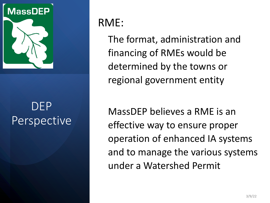

## DEP Perspective

#### RME:

The format, administration and financing of RMEs would be determined by the towns or regional government entity

MassDEP believes a RME is an effective way to ensure proper operation of enhanced IA systems and to manage the various systems under a Watershed Permit